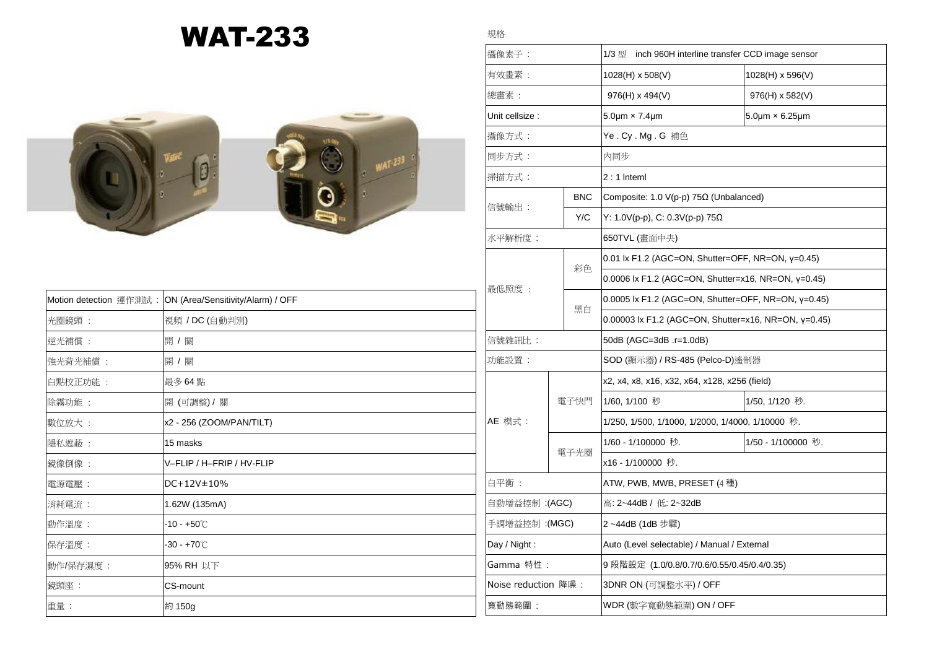## WAT-233

規格



|          | Motion detection 運作測試: ON (Area/Sensitivity/Alarm) / OFF |  |
|----------|----------------------------------------------------------|--|
| 光圈鏡頭:    | 視頻 / DC (自動判別)                                           |  |
| 逆光補償:    | 開 / 關                                                    |  |
| 強光背光補償:  | 開 / 關                                                    |  |
| 白點校正功能 : | 最多 64 點                                                  |  |
| 除霧功能 :   | 開 (可調整) / 關                                              |  |
| 數位放大:    | x2 - 256 (ZOOM/PAN/TILT)                                 |  |
| 隱私遮蔽:    | 15 masks                                                 |  |
| 鏡像倒像:    | V-FLIP / H-FRIP / HV-FLIP                                |  |
| 電源電壓:    | DC+12V±10%                                               |  |
| 消耗電流:    | 1.62W (135mA)                                            |  |
| 動作溫度:    | -10 - +50℃                                               |  |
| 保存溫度:    | $-30 - +70^{\circ}$ C                                    |  |
| 動作/保存濕度: | 95% RH 以下                                                |  |
| 鏡頭座:     | CS-mount                                                 |  |
| 重量:      | 約 150g                                                   |  |
|          |                                                          |  |

## **|攝像素子:** 1/3 型 inch 960H interline transfer CCD image sensor 有效畫素 : 1028(H) x 508(V) 1028(H) x 596(V) 總畫素 : 976(H) x 494(V) 976(H) x 582(V) Unit cellsize :  $5.0 \mu m \times 7.4 \mu m$  5.0 km  $5.0 \mu m \times 6.25 \mu m$ 攝像方式 : Ye . Cy . Mg . G 補色 同步方式 : 內同步 掃描方式 : 2 : 1 lnteml 信號輸出 : BNC  $\vert$  Composite: 1.0 V(p-p) 75Ω (Unbalanced) Y/C Y: 1.0V(p-p), C: 0.3V(p-p) 75Ω 水平解析度 : 650TVL (畫面中央) 最低照度 : 彩色 0.01 lx F1.2 (AGC=ON, Shutter=OFF, NR=ON, γ=0.45) 0.0006 lx F1.2 (AGC=ON, Shutter=x16, NR=ON, γ=0.45) 黑白 0.0005 lx F1.2 (AGC=ON, Shutter=OFF, NR=ON, γ=0.45) 0.00003 lx F1.2 (AGC=ON, Shutter=x16, NR=ON, γ=0.45) 信號雜訊比 : 50dB (AGC=3dB .r=1.0dB) 功能設置 : SOD (顯示器) / RS-485 (Pelco-D)遙制器 AE 模式 : 電子快門 x2, x4, x8, x16, x32, x64, x128, x256 (field) 1/60, 1/100 秒 1/50, 1/120 秒. 1/250, 1/500, 1/1000, 1/2000, 1/4000, 1/10000 秒. 電子光圈 1/60 - 1/100000 秒. 1/50 - 1/100000 秒. x16 - 1/100000 秒. 白平衡 : ATW, PWB, MWB, PRESET (4 種) 自動增益控制 :(AGC) 高: 2~44dB / 低: 2~32dB 手調增益控制 :(MGC) 2 ~44dB (1dB 步驟) Day / Night : Auto (Level selectable) / Manual / External Gamma 特性: 9 段階設定 (1.0/0.8/0.7/0.6/0.55/0.45/0.4/0.35) Noise reduction 降噪 : 3DNR ON (可調整水平) / OFF 寬動態範圍 : WDR (數字寬動態範圍) ON / OFF